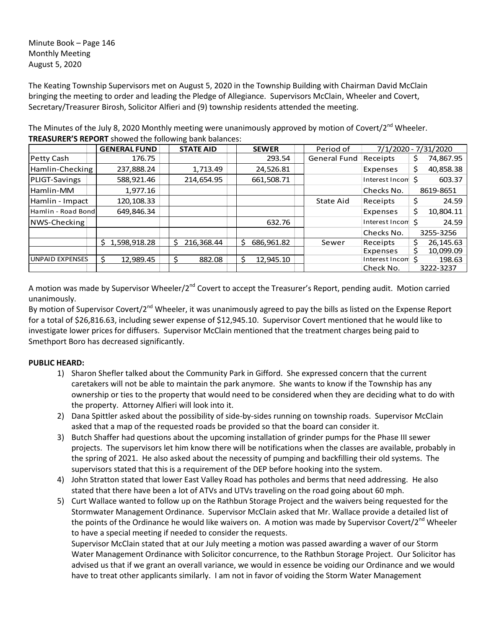Minute Book – Page 146 Monthly Meeting August 5, 2020

The Keating Township Supervisors met on August 5, 2020 in the Township Building with Chairman David McClain bringing the meeting to order and leading the Pledge of Allegiance. Supervisors McClain, Wheeler and Covert, Secretary/Treasurer Birosh, Solicitor Alfieri and (9) township residents attended the meeting.

|                        | <b>GENERAL FUND</b> | <b>STATE AID</b> | <b>SEWER</b>    | Period of           | 7/1/2020 - 7/31/2020 |                 |
|------------------------|---------------------|------------------|-----------------|---------------------|----------------------|-----------------|
| Petty Cash             | 176.75              |                  | 293.54          | <b>General Fund</b> | Receipts             | 74,867.95<br>Ş. |
| Hamlin-Checking        | 237,888.24          | 1,713.49         | 24,526.81       |                     | Expenses             | 40,858.38<br>\$ |
| PLIGT-Savings          | 588,921.46          | 214,654.95       | 661,508.71      |                     | Interest Incom \$    | 603.37          |
| Hamlin-MM              | 1,977.16            |                  |                 |                     | Checks No.           | 8619-8651       |
| Hamlin - Impact        | 120,108.33          |                  |                 | State Aid           | Receipts             | \$<br>24.59     |
| Hamlin - Road Bond     | 649,846.34          |                  |                 |                     | Expenses             | Ś.<br>10,804.11 |
| NWS-Checking           |                     |                  | 632.76          |                     | Interest Incom S     | 24.59           |
|                        |                     |                  |                 |                     | Checks No.           | 3255-3256       |
|                        | 1,598,918.28<br>S.  | 216,368.44<br>S. | Ś<br>686,961.82 | Sewer               | Receipts             | 26,145.63       |
|                        |                     |                  |                 |                     | Expenses             | 10,099.09       |
| <b>UNPAID EXPENSES</b> | 12,989.45<br>Ŝ.     | 882.08<br>S      | Ś<br>12,945.10  |                     | Interest Incon       | 198.63          |
|                        |                     |                  |                 |                     | Check No.            | 3222-3237       |

The Minutes of the July 8, 2020 Monthly meeting were unanimously approved by motion of Covert/2<sup>nd</sup> Wheeler. **TREASURER'S REPORT** showed the following bank balances:

A motion was made by Supervisor Wheeler/2<sup>nd</sup> Covert to accept the Treasurer's Report, pending audit. Motion carried unanimously.

By motion of Supervisor Covert/2<sup>nd</sup> Wheeler, it was unanimously agreed to pay the bills as listed on the Expense Report for a total of \$26,816.63, including sewer expense of \$12,945.10. Supervisor Covert mentioned that he would like to investigate lower prices for diffusers. Supervisor McClain mentioned that the treatment charges being paid to Smethport Boro has decreased significantly.

# **PUBLIC HEARD:**

- 1) Sharon Shefler talked about the Community Park in Gifford. She expressed concern that the current caretakers will not be able to maintain the park anymore. She wants to know if the Township has any ownership or ties to the property that would need to be considered when they are deciding what to do with the property. Attorney Alfieri will look into it.
- 2) Dana Spittler asked about the possibility of side-by-sides running on township roads. Supervisor McClain asked that a map of the requested roads be provided so that the board can consider it.
- 3) Butch Shaffer had questions about the upcoming installation of grinder pumps for the Phase III sewer projects. The supervisors let him know there will be notifications when the classes are available, probably in the spring of 2021. He also asked about the necessity of pumping and backfilling their old systems. The supervisors stated that this is a requirement of the DEP before hooking into the system.
- 4) John Stratton stated that lower East Valley Road has potholes and berms that need addressing. He also stated that there have been a lot of ATVs and UTVs traveling on the road going about 60 mph.
- 5) Curt Wallace wanted to follow up on the Rathbun Storage Project and the waivers being requested for the Stormwater Management Ordinance. Supervisor McClain asked that Mr. Wallace provide a detailed list of the points of the Ordinance he would like waivers on. A motion was made by Supervisor Covert/2<sup>nd</sup> Wheeler to have a special meeting if needed to consider the requests.

Supervisor McClain stated that at our July meeting a motion was passed awarding a waver of our Storm Water Management Ordinance with Solicitor concurrence, to the Rathbun Storage Project. Our Solicitor has advised us that if we grant an overall variance, we would in essence be voiding our Ordinance and we would have to treat other applicants similarly. I am not in favor of voiding the Storm Water Management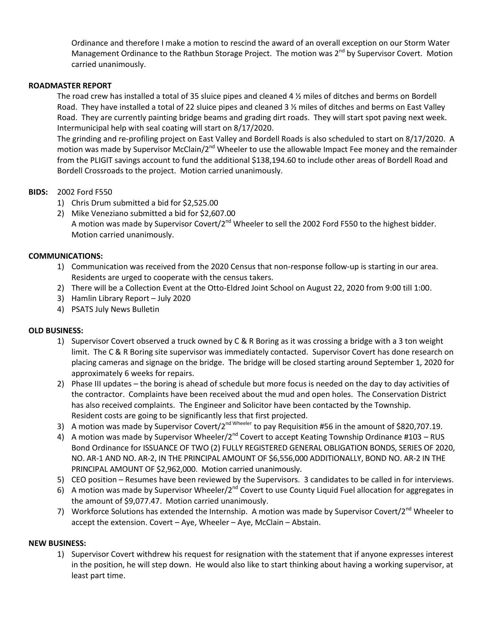Ordinance and therefore I make a motion to rescind the award of an overall exception on our Storm Water Management Ordinance to the Rathbun Storage Project. The motion was 2<sup>nd</sup> by Supervisor Covert. Motion carried unanimously.

# **ROADMASTER REPORT**

The road crew has installed a total of 35 sluice pipes and cleaned 4 ½ miles of ditches and berms on Bordell Road. They have installed a total of 22 sluice pipes and cleaned 3 1/2 miles of ditches and berms on East Valley Road. They are currently painting bridge beams and grading dirt roads. They will start spot paving next week. Intermunicipal help with seal coating will start on 8/17/2020.

The grinding and re-profiling project on East Valley and Bordell Roads is also scheduled to start on 8/17/2020. A motion was made by Supervisor McClain/2<sup>nd</sup> Wheeler to use the allowable Impact Fee money and the remainder from the PLIGIT savings account to fund the additional \$138,194.60 to include other areas of Bordell Road and Bordell Crossroads to the project. Motion carried unanimously.

# **BIDS:** 2002 Ford F550

- 1) Chris Drum submitted a bid for \$2,525.00
- 2) Mike Veneziano submitted a bid for \$2,607.00 A motion was made by Supervisor Covert/2<sup>nd</sup> Wheeler to sell the 2002 Ford F550 to the highest bidder. Motion carried unanimously.

## **COMMUNICATIONS:**

- 1) Communication was received from the 2020 Census that non-response follow-up is starting in our area. Residents are urged to cooperate with the census takers.
- 2) There will be a Collection Event at the Otto-Eldred Joint School on August 22, 2020 from 9:00 till 1:00.
- 3) Hamlin Library Report July 2020
- 4) PSATS July News Bulletin

### **OLD BUSINESS:**

- 1) Supervisor Covert observed a truck owned by C & R Boring as it was crossing a bridge with a 3 ton weight limit. The C & R Boring site supervisor was immediately contacted. Supervisor Covert has done research on placing cameras and signage on the bridge. The bridge will be closed starting around September 1, 2020 for approximately 6 weeks for repairs.
- 2) Phase III updates the boring is ahead of schedule but more focus is needed on the day to day activities of the contractor. Complaints have been received about the mud and open holes. The Conservation District has also received complaints. The Engineer and Solicitor have been contacted by the Township. Resident costs are going to be significantly less that first projected.
- 3) A motion was made by Supervisor Covert/2<sup>nd Wheeler</sup> to pay Requisition #56 in the amount of \$820,707.19.
- 4) A motion was made by Supervisor Wheeler/2<sup>nd</sup> Covert to accept Keating Township Ordinance #103 RUS Bond Ordinance for ISSUANCE OF TWO (2) FULLY REGISTERED GENERAL OBLIGATION BONDS, SERIES OF 2020, NO. AR-1 AND NO. AR-2, IN THE PRINCIPAL AMOUNT OF \$6,556,000 ADDITIONALLY, BOND NO. AR-2 IN THE PRINCIPAL AMOUNT OF \$2,962,000. Motion carried unanimously.
- 5) CEO position Resumes have been reviewed by the Supervisors. 3 candidates to be called in for interviews.
- 6) A motion was made by Supervisor Wheeler/2<sup>nd</sup> Covert to use County Liquid Fuel allocation for aggregates in the amount of \$9,077.47. Motion carried unanimously.
- 7) Workforce Solutions has extended the Internship. A motion was made by Supervisor Covert/2<sup>nd</sup> Wheeler to accept the extension. Covert – Aye, Wheeler – Aye, McClain – Abstain.

### **NEW BUSINESS:**

1) Supervisor Covert withdrew his request for resignation with the statement that if anyone expresses interest in the position, he will step down. He would also like to start thinking about having a working supervisor, at least part time.